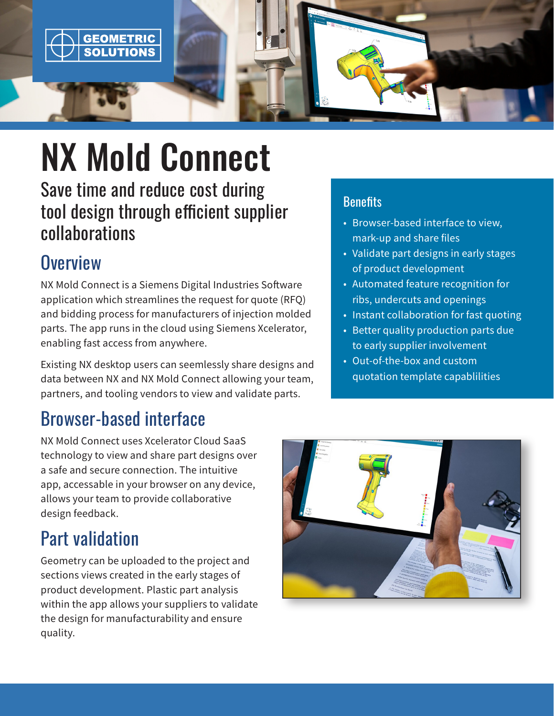

# NX Mold Connect

Save time and reduce cost during tool design through efficient supplier collaborations

### **Overview**

NX Mold Connect is a Siemens Digital Industries Software application which streamlines the request for quote (RFQ) and bidding process for manufacturers of injection molded parts. The app runs in the cloud using Siemens Xcelerator, enabling fast access from anywhere.

Existing NX desktop users can seemlessly share designs and data between NX and NX Mold Connect allowing your team, partners, and tooling vendors to view and validate parts.

### Browser-based interface

NX Mold Connect uses Xcelerator Cloud SaaS technology to view and share part designs over a safe and secure connection. The intuitive app, accessable in your browser on any device, allows your team to provide collaborative design feedback.

## Part validation

Geometry can be uploaded to the project and sections views created in the early stages of product development. Plastic part analysis within the app allows your suppliers to validate the design for manufacturability and ensure quality.

### **Benefits**

- Browser-based interface to view, mark-up and share files
- Validate part designs in early stages of product development
- Automated feature recognition for ribs, undercuts and openings
- Instant collaboration for fast quoting
- Better quality production parts due to early supplier involvement
- Out-of-the-box and custom quotation template capablilities